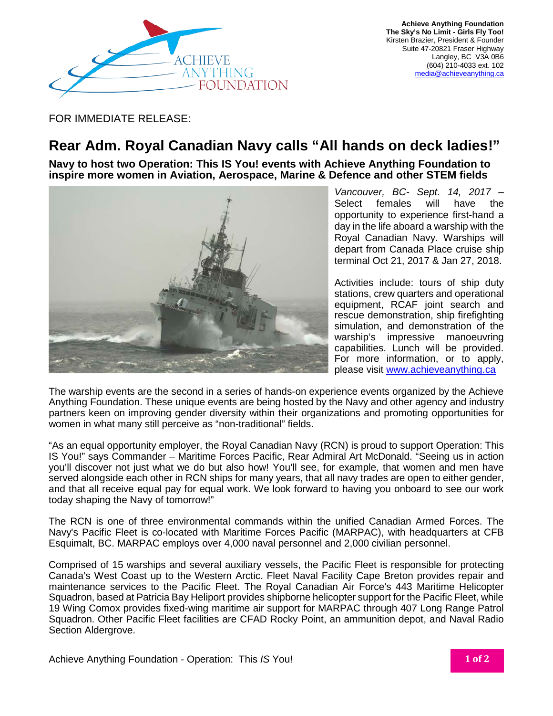

FOR IMMEDIATE RELEASE:

## **Rear Adm. Royal Canadian Navy calls "All hands on deck ladies!"**

**Navy to host two Operation: This IS You! events with Achieve Anything Foundation to inspire more women in Aviation, Aerospace, Marine & Defence and other STEM fields**



*Vancouver, BC- Sept. 14, 2017 –* Select females will have the opportunity to experience first-hand a day in the life aboard a warship with the Royal Canadian Navy. Warships will depart from Canada Place cruise ship terminal Oct 21, 2017 & Jan 27, 2018.

Activities include: tours of ship duty stations, crew quarters and operational equipment, RCAF joint search and rescue demonstration, ship firefighting simulation, and demonstration of the warship's impressive manoeuvring capabilities. Lunch will be provided. For more information, or to apply, please visit [www.achieveanything.ca](http://www.achieveanything.ca/)

The warship events are the second in a series of hands-on experience events organized by the Achieve Anything Foundation. These unique events are being hosted by the Navy and other agency and industry partners keen on improving gender diversity within their organizations and promoting opportunities for women in what many still perceive as "non-traditional" fields.

"As an equal opportunity employer, the Royal Canadian Navy (RCN) is proud to support Operation: This IS You!" says Commander – Maritime Forces Pacific, Rear Admiral Art McDonald. "Seeing us in action you'll discover not just what we do but also how! You'll see, for example, that women and men have served alongside each other in RCN ships for many years, that all navy trades are open to either gender, and that all receive equal pay for equal work. We look forward to having you onboard to see our work today shaping the Navy of tomorrow!"

The RCN is one of three environmental commands within the unified Canadian Armed Forces. The Navy's Pacific Fleet is co-located with Maritime Forces Pacific (MARPAC), with headquarters at CFB Esquimalt, BC. MARPAC employs over 4,000 naval personnel and 2,000 civilian personnel.

Comprised of 15 warships and several auxiliary vessels, the Pacific Fleet is responsible for protecting Canada's West Coast up to the Western Arctic. Fleet Naval Facility Cape Breton provides repair and maintenance services to the Pacific Fleet. The Royal Canadian Air Force's 443 Maritime Helicopter Squadron, based at Patricia Bay Heliport provides shipborne helicopter support for the Pacific Fleet, while 19 Wing Comox provides fixed-wing maritime air support for MARPAC through 407 Long Range Patrol Squadron. Other Pacific Fleet facilities are CFAD Rocky Point, an ammunition depot, and Naval Radio Section Aldergrove.